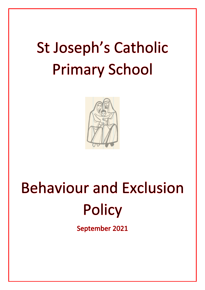# **St Joseph's Catholic Primary School**



# **Behaviour and Exclusion Policy**

September 2021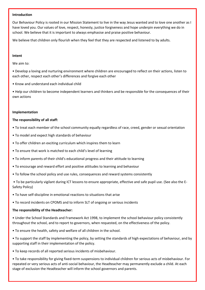#### **Introduction**

Our Behaviour Policy is rooted in our Mission Statement to live in the way Jesus wanted and to love one another as I have loved you. Our values of love, respect, honesty, justice forgiveness and hope underpin everything we do in school. We believe that it is important to always emphasise and praise positive behaviour.

We believe that children only flourish when they feel that they are respected and listened to by adults.

#### **Intent**

We aim to:

• Develop a loving and nurturing environment where children are encouraged to reflect on their actions, listen to each other, respect each other's differences and forgive each other

• Know and understand each individual child

• Help our children to become independent learners and thinkers and be responsible for the consequences of their own actions

#### **Implementation**

#### **The responsibility of all staff:**

- To treat each member of the school community equally regardless of race, creed, gender or sexual orientation
- To model and expect high standards of behaviour
- To offer children an exciting curriculum which inspires them to learn
- To ensure that work is matched to each child's level of learning
- To inform parents of their child's educational progress and their attitude to learning
- To encourage and reward effort and positive attitudes to learning and behaviour
- To follow the school policy and use rules, consequences and reward systems consistently
- To be particularly vigilant during ICT lessons to ensure appropriate, effective and safe pupil use. (See also the E-Safety Policy)
- To have self-discipline in emotional reactions to situations that arise
- To record incidents on CPOMS and to inform SLT of ongoing or serious incidents

#### **The responsibility of the Headteacher:**

- Under the School Standards and Framework Act 1998, to implement the school behaviour policy consistently throughout the school, and to report to governors, when requested, on the effectiveness of the policy.
- To ensure the health, safety and welfare of all children in the school.
- To support the staff by implementing the policy, by setting the standards of high expectations of behaviour, and by supporting staff in their implementation of the policy.
- To keep records of all reported serious incidents of misbehaviour.

• To take responsibility for giving fixed-term suspensions to individual children for serious acts of misbehaviour. For repeated or very serious acts of anti-social behaviour, the Headteacher may permanently exclude a child. At each stage of exclusion the Headteacher will inform the school governors and parents.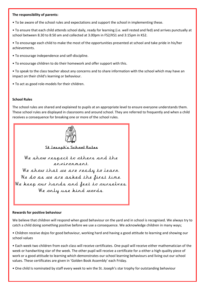#### **The responsibility of parents:**

• To be aware of the school rules and expectations and support the school in implementing these.

• To ensure that each child attends school daily, ready for learning (i.e. well rested and fed) and arrives punctually at school between 8.30 to 8:50 am and collected at 3.00pm in FS2/KS1 and 3:15pm in KS2.

• To encourage each child to make the most of the opportunities presented at school and take pride in his/her achievements.

• To encourage independence and self-discipline.

• To encourage children to do their homework and offer support with this.

• To speak to the class teacher about any concerns and to share information with the school which may have an impact on their child's learning or behaviour.

• To act as good role-models for their children.

#### **School Rules**

The school rules are shared and explained to pupils at an appropriate level to ensure everyone understands them. These school rules are displayed in classrooms and around school. They are referred to frequently and when a child receives a consequence for breaking one or more of the school rules.



St Joseph's School Rules

We show respect to others and the environment We show that we are ready to learn. We do as we are asked the first time. We keep our hands and feet to ourselves. We only use kind words.

#### **Rewards for positive behaviour**

We believe that children will respond when good behaviour on the yard and in school is recognised. We always try to catch a child doing something positive before we use a consequence. We acknowledge children in many ways;

• Children receive dojos for good behaviour, working hard and having a good attitude to learning and showing our school values

• Each week two children from each class will receive certificates. One pupil will receive either mathematician of the week or handwriting star of the week. The other pupil will receive a certificate for a either a high quality piece of work or a good attitude to learning which demonstrates our school learning behaviours and living out our school values. These certificates are given in 'Golden Book Assembly' each Friday.

• One child Is nominated by staff every week to win the St. Joseph's star trophy for outstanding behaviour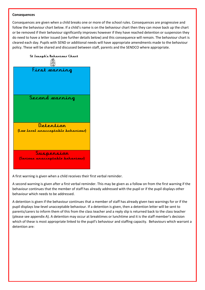#### **Consequences**

Consequences are given when a child breaks one or more of the school rules. Consequences are progressive and follow the behaviour chart below. If a child's name is on the behaviour chart then they can move back up the chart or be removed if their behaviour significantly improves however if they have reached detention or suspension they do need to have a letter issued (see further details below) and this consequence will remain. The behaviour chart is cleared each day. Pupils with SEND or additional needs will have appropriate amendments made to the behaviour policy. These will be shared and discussed between staff, parents and the SENDCO where appropriate.



A first warning is given when a child receives their first verbal reminder.

A second warning is given after a first verbal reminder. This may be given as a follow on from the first warning if the behaviour continues that the member of staff has already addressed with the pupil or if the pupil displays other behaviour which needs to be addressed.

A detention is given if the behaviour continues that a member of staff has already given two warnings for or if the pupil displays low-level unacceptable behaviour. If a detention is given, then a detention letter will be sent to parents/carers to inform them of this from the class teacher and a reply slip is returned back to the class teacher (please see appendix A). A detention may occur at breaktimes or lunchtime and it is the staff member's decision which of these is most appropriate linked to the pupil's behaviour and staffing capacity. Behaviours which warrant a detention are: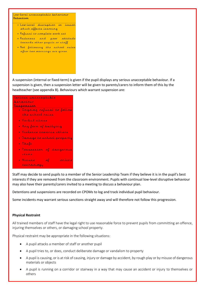Low-level unacceptable behaviour Detention

- . Low-level disruption in lesson which affects learning
- · Refusal to complete work set
- · Rudeness and poor attitude towards other pupils or staff
- . Not following the school rules after two warnings are given

A suspension (internal or fixed-term) is given if the pupil displays any serious unacceptable behaviour. If a suspension is given, then a suspension letter will be given to parents/carers to inform them of this by the headteacher (see appendix B). Behaviours which warrant suspension are:



Staff may decide to send pupils to a member of the Senior Leadership Team if they believe it is in the pupil's best interests if they are removed from the classroom environment. Pupils with continual low-level disruptive behaviour may also have their parents/carers invited to a meeting to discuss a behaviour plan.

Detentions and suspensions are recorded on CPOMs to log and track individual pupil behaviour.

Some incidents may warrant serious sanctions straight away and will therefore not follow this progression.

#### **Physical Restraint**

All trained members of staff have the legal right to use reasonable force to prevent pupils from committing an offence, injuring themselves or others, or damaging school property.

Physical restraint may be appropriate in the following situations:

- A pupil attacks a member of staff or another pupil
- A pupil tries to, or does, conduct deliberate damage or vandalism to property
- A pupil is causing, or is at risk of causing, injury or damage by accident, by rough play or by misuse of dangerous materials or objects
- A pupil is running on a corridor or stairway in a way that may cause an accident or injury to themselves or others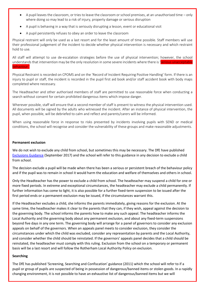- A pupil leaves the classroom, or tries to leave the classroom or school premises, at an unauthorised time only where doing so may lead to a risk of injury, property damage or serious disruption
- A pupil is behaving in a way that is seriously disrupting a lesson, event or educational visit
- A pupil persistently refuses to obey an order to leave the classroom

Physical restraint will only be used as a last resort and for the least amount of time possible. Staff members will use their professional judgement of the incident to decide whether physical intervention is necessary and which restraint hold to use.

All staff will attempt to use de-escalation strategies before the use of physical intervention; however, the school understands that intervention may be the only resolution in some severe incidents where there is 'serious unacceptable behaviour.

Physical Restraint is recorded on CPOMS and on the 'Record of Incident Requiring Positive Handling' form. If there is an injury to pupil or staff, the incident is recorded in the pupil first aid book and/or staff accident book with body maps completed where necessary.

The Headteacher and other authorised members of staff are permitted to use reasonable force when conducting a search without consent for certain prohibited dangerous items which impose danger.

Wherever possible, staff will ensure that a second member of staff is present to witness the physical intervention used. All documents will be signed by the adults who witnessed the incident. After an instance of physical intervention, the pupil, when possible, will be debriefed to calm and reflect and parents/carers will be informed.

When using reasonable force in response to risks presented by incidents involving pupils with SEND or medical conditions, the school will recognise and consider the vulnerability of these groups and make reasonable adjustments.

#### **Permanent exclusion**

We do not wish to exclude any child from school, but sometimes this may be necessary. The DfE have published [Exclusions Guidance](https://assets.publishing.service.gov.uk/government/uploads/system/uploads/attachment_data/file/921405/20170831_Exclusion_Stat_guidance_Web_version.pdf) (September 2017) and the school will refer to this guidance in any decision to exclude a child from school.

The decision exclude a pupil will be made when there has been a serious or persistent breach of the behaviour policy and if the pupil was to remain in school it would harm the education and welfare of themselves and others in school.

Only the Headteacher has the power to exclude a child from school. The headteacher may suspend a child for one or more fixed periods. In extreme and exceptional circumstances, the headteacher may exclude a child permanently. If further information has come to light, it is also possible for a further fixed-term suspension to be issued after the first period ends or a permanent exclusion may be issued, if the circumstances warrant this.

If the Headteacher excludes a child, she informs the parents immediately, giving reasons for the exclusion. At the same time, the headteacher makes it clear to the parents that they can, if they wish, appeal against the decision to the governing body. The school informs the parents how to make any such appeal. The headteacher informs the Local Authority and the governing body about any permanent exclusion, and about any fixed-term suspensions beyond five days in any one term. The governing body will arrange for a panel of governors to consider any exclusion appeals on behalf of the governors. When an appeals panel meets to consider exclusion, they consider the circumstances under which the child was excluded, consider any representation by parents and the Local Authority, and consider whether the child should be reinstated. If the governors' appeals panel decides that a child should be reinstated, the headteacher must comply with this ruling. Exclusion from the school on a temporary or permanent basis will be a last resort and will follow the Rotherham Local Authority Policy on exclusion.

#### **Searching**

The DfE has published 'Screening, Searching and Confiscation' guidance (2011) which the school will refer to if a pupil or group of pupils are suspected of being in possession of dangerous/banned items or stolen goods. In a rapidly changing environment, it is not possible to have an exhaustive list of dangerous/banned items but we will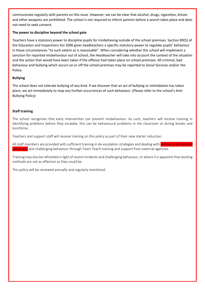communicate regularly with parents on this issue. However, we can be clear that alcohol, drugs, cigarettes, knives and other weapons are prohibited. The school is not required to inform parents before a search takes place and does not need to seek consent.

### **The power to discipline beyond the school gate**

Teachers have a statutory power to discipline pupils for misbehaving outside of the school premises. Section 89(5) of the Education and Inspections Act 2006 gives headteachers a specific statutory power to regulate pupils' behaviour in these circumstances "to such extent as is reasonable". When considering whether the school will implement a sanction for reported misbehaviour out of school, the Headteacher will take into account the context of the situation and the action that would have been taken if the offence had taken place on school premises. All criminal, bad behaviour and bullying which occurs on or off the school premises may be reported to Social Services and/or the Police.

# **Bullying**

The school does not tolerate bullying of any kind. If we discover that an act of bullying or intimidation has taken place, we act immediately to stop any further occurrences of such behaviour. (Please refer to the school's Anti-Bullying Policy)

# **Staff training**

The school recognises that early intervention can prevent misbehaviour. As such, teachers will receive training in identifying problems before they escalate; this can be behavioural problems in the classroom or during breaks and lunchtime.

Teachers and support staff will receive training on this policy as part of their new starter induction.

All staff members are provided with sufficient training in de-escalation strategies and dealing with serious unacceptable behaviour and challenging behaviour through Team Teach training and support from external agencies.

Training may also be refreshed in light of recent incidents and challenging behaviour, or where it is apparent that existing methods are not as effective as they could be.

This policy will be reviewed annually and regularly monitored.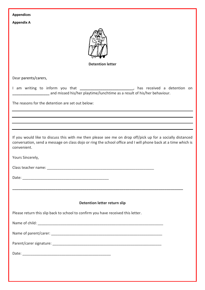| <b>Appendices</b>                                                                                                                                                                                                                         |
|-------------------------------------------------------------------------------------------------------------------------------------------------------------------------------------------------------------------------------------------|
| <b>Appendix A</b>                                                                                                                                                                                                                         |
| <b>Detention letter</b>                                                                                                                                                                                                                   |
|                                                                                                                                                                                                                                           |
| Dear parents/carers,                                                                                                                                                                                                                      |
| I am writing to inform you that ______________________________, has received a detention on<br>and missed his/her playtime/lunchtime as a result of his/her behaviour.                                                                    |
| The reasons for the detention are set out below:                                                                                                                                                                                          |
|                                                                                                                                                                                                                                           |
|                                                                                                                                                                                                                                           |
|                                                                                                                                                                                                                                           |
| If you would like to discuss this with me then please see me on drop off/pick up for a socially distanced<br>conversation, send a message on class dojo or ring the school office and I will phone back at a time which is<br>convenient. |
| Yours Sincerely,                                                                                                                                                                                                                          |
|                                                                                                                                                                                                                                           |
|                                                                                                                                                                                                                                           |
|                                                                                                                                                                                                                                           |
|                                                                                                                                                                                                                                           |
| Detention letter return slip                                                                                                                                                                                                              |
| Please return this slip back to school to confirm you have received this letter.                                                                                                                                                          |
|                                                                                                                                                                                                                                           |
|                                                                                                                                                                                                                                           |
|                                                                                                                                                                                                                                           |
|                                                                                                                                                                                                                                           |
|                                                                                                                                                                                                                                           |
|                                                                                                                                                                                                                                           |